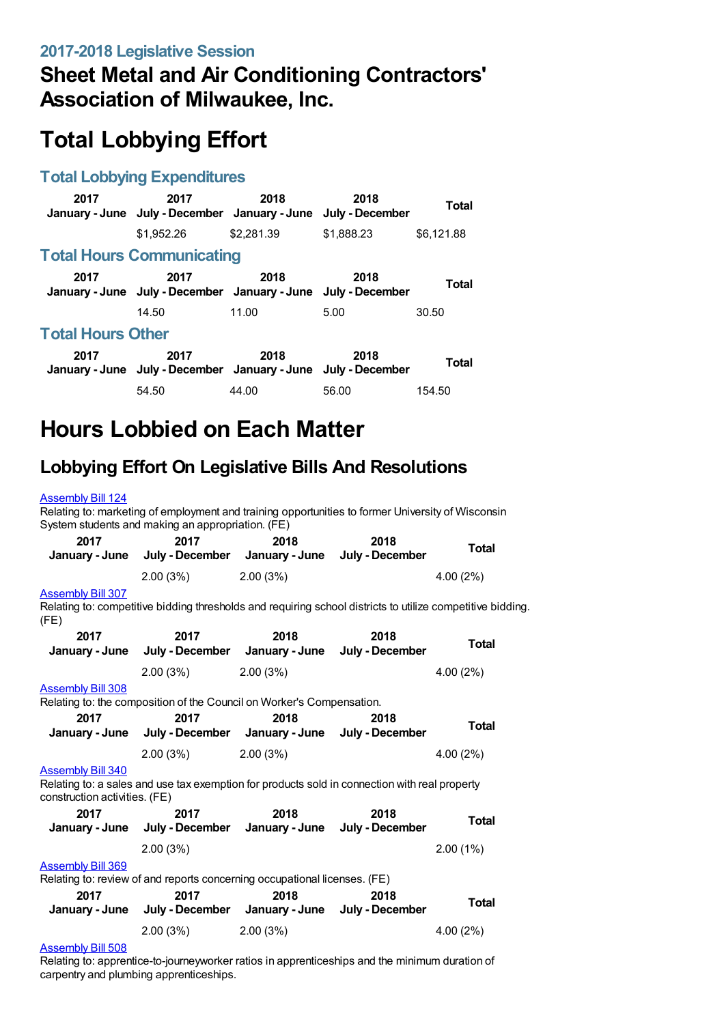# **Sheet Metal and Air Conditioning Contractors' Association of Milwaukee, Inc.**

# **Total Lobbying Effort**

### **Total Lobbying Expenditures**

| 2017                     | 2017<br>January - June July - December January - June July - December | 2018       | 2018       | Total        |
|--------------------------|-----------------------------------------------------------------------|------------|------------|--------------|
|                          | \$1.952.26                                                            | \$2.281.39 | \$1,888.23 | \$6,121.88   |
|                          | <b>Total Hours Communicating</b>                                      |            |            |              |
| 2017                     | 2017<br>January - June July - December January - June July - December | 2018       | 2018       | Total        |
|                          | 14.50                                                                 | 11.00      | 5.00       | 30.50        |
| <b>Total Hours Other</b> |                                                                       |            |            |              |
| 2017                     | 2017<br>January - June July - December January - June July - December | 2018       | 2018       | <b>Total</b> |
|                          | 54.50                                                                 | 44.00      | 56.00      | 154.50       |

# **Hours Lobbied on Each Matter**

## **Lobbying Effort On Legislative Bills And Resolutions**

#### [Assembly](https://lobbying.wi.gov/What/BillInformation/2017REG/Information/13945?tab=Efforts) Bill 124

Relating to: marketing of employment and training opportunities to former University of Wisconsin System students and making an appropriation. (FE)

| 2017<br>January - June | 2017     | 2018<br>July - December January - June July - December | 2018 | <b>Total</b> |
|------------------------|----------|--------------------------------------------------------|------|--------------|
|                        | 2.00(3%) | 2.00(3%)                                               |      | $4.00(2\%)$  |

#### [Assembly](https://lobbying.wi.gov/What/BillInformation/2017REG/Information/14339?tab=Efforts) Bill 307

Relating to: competitive bidding thresholds and requiring school districts to utilize competitive bidding. (FE)

| 2017                                                      | 2017<br>January - June July - December January - June July - December                         | 2018     | 2018 | <b>Total</b> |
|-----------------------------------------------------------|-----------------------------------------------------------------------------------------------|----------|------|--------------|
|                                                           | 2.00(3%)                                                                                      | 2.00(3%) |      | 4.00(2%)     |
| <b>Assembly Bill 308</b>                                  |                                                                                               |          |      |              |
|                                                           | Relating to: the composition of the Council on Worker's Compensation.                         |          |      |              |
| 2017                                                      | 2017                                                                                          | 2018     | 2018 | <b>Total</b> |
|                                                           | January - June July - December January - June July - December                                 |          |      |              |
|                                                           | 2.00(3%)                                                                                      | 2.00(3%) |      | 4.00(2%)     |
| <b>Assembly Bill 340</b><br>construction activities. (FE) | Relating to: a sales and use tax exemption for products sold in connection with real property |          |      |              |
| 2017                                                      | 2017                                                                                          | 2018     | 2018 |              |
|                                                           | January - June July - December January - June July - December                                 |          |      | Total        |
|                                                           | 2.00(3%)                                                                                      |          |      | 2.00(1%)     |
| <b>Assembly Bill 369</b>                                  |                                                                                               |          |      |              |
|                                                           | Relating to: review of and reports concerning occupational licenses. (FE)                     |          |      |              |
| 2017                                                      | 2017                                                                                          | 2018     | 2018 | <b>Total</b> |
|                                                           | January - June July - December January - June July - December                                 |          |      |              |
|                                                           | 2.00(3%)                                                                                      | 2.00(3%) |      | 4.00 (2%)    |
| A  LE BUILDAR                                             |                                                                                               |          |      |              |

#### [Assembly](https://lobbying.wi.gov/What/BillInformation/2017REG/Information/14784?tab=Efforts) Bill 508

Relating to: apprentice-to-journeyworker ratios in apprenticeships and the minimum duration of carpentry and plumbing apprenticeships.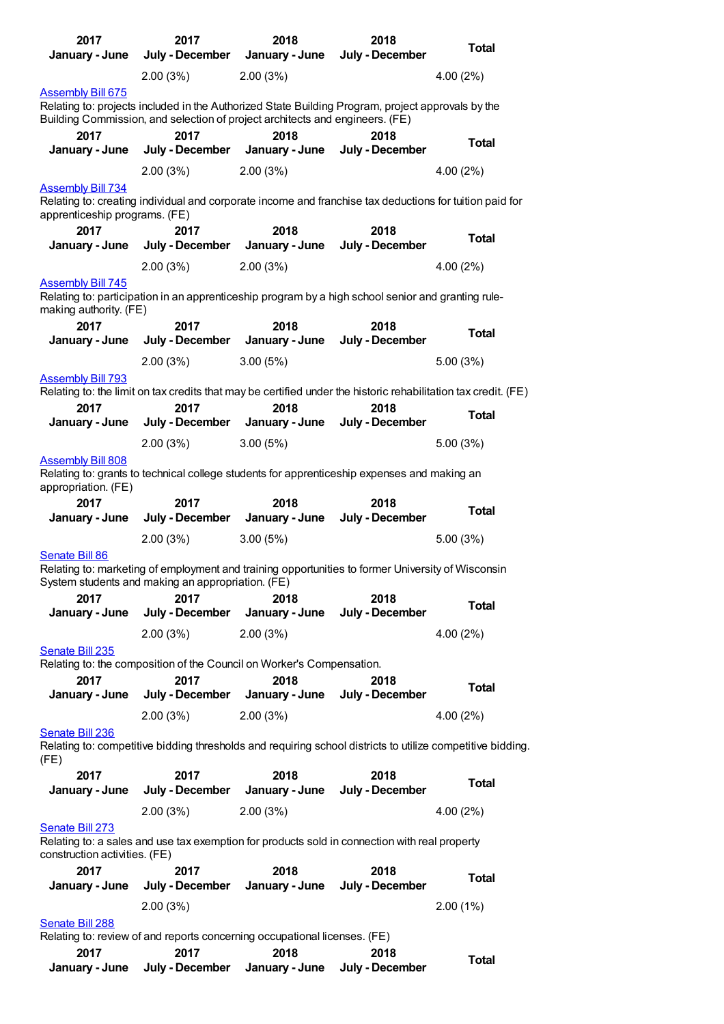| 2017<br>January - June                                                                                                                                                            | 2017<br>July - December                                                                                                                                | 2018<br>January - June | 2018<br>July - December | <b>Total</b>                                                                                               |  |  |
|-----------------------------------------------------------------------------------------------------------------------------------------------------------------------------------|--------------------------------------------------------------------------------------------------------------------------------------------------------|------------------------|-------------------------|------------------------------------------------------------------------------------------------------------|--|--|
|                                                                                                                                                                                   | 2.00(3%)                                                                                                                                               | 2.00(3%)               |                         | 4.00(2%)                                                                                                   |  |  |
| <b>Assembly Bill 675</b>                                                                                                                                                          |                                                                                                                                                        |                        |                         |                                                                                                            |  |  |
| Relating to: projects included in the Authorized State Building Program, project approvals by the<br>Building Commission, and selection of project architects and engineers. (FE) |                                                                                                                                                        |                        |                         |                                                                                                            |  |  |
| 2017<br>January - June                                                                                                                                                            | 2017<br>July - December                                                                                                                                | 2018<br>January - June | 2018<br>July - December | Total                                                                                                      |  |  |
|                                                                                                                                                                                   | 2.00(3%)                                                                                                                                               | 2.00(3%)               |                         | 4.00(2%)                                                                                                   |  |  |
| <b>Assembly Bill 734</b><br>apprenticeship programs. (FE)                                                                                                                         | Relating to: creating individual and corporate income and franchise tax deductions for tuition paid for                                                |                        |                         |                                                                                                            |  |  |
| 2017<br>January - June                                                                                                                                                            | 2017<br>July - December                                                                                                                                | 2018<br>January - June | 2018<br>July - December | <b>Total</b>                                                                                               |  |  |
|                                                                                                                                                                                   | 2.00(3%)                                                                                                                                               | 2.00(3%)               |                         | 4.00(2%)                                                                                                   |  |  |
| <b>Assembly Bill 745</b><br>making authority. (FE)                                                                                                                                | Relating to: participation in an apprenticeship program by a high school senior and granting rule-                                                     |                        |                         |                                                                                                            |  |  |
| 2017<br>January - June                                                                                                                                                            | 2017<br>July - December                                                                                                                                | 2018<br>January - June | 2018<br>July - December | <b>Total</b>                                                                                               |  |  |
|                                                                                                                                                                                   | 2.00(3%)                                                                                                                                               | 3.00(5%)               |                         | 5.00(3%)                                                                                                   |  |  |
| <b>Assembly Bill 793</b>                                                                                                                                                          | Relating to: the limit on tax credits that may be certified under the historic rehabilitation tax credit. (FE)                                         |                        |                         |                                                                                                            |  |  |
| 2017<br>January - June                                                                                                                                                            | 2017<br>July - December                                                                                                                                | 2018<br>January - June | 2018<br>July - December | <b>Total</b>                                                                                               |  |  |
|                                                                                                                                                                                   | 2.00(3%)                                                                                                                                               | 3.00(5%)               |                         | 5.00 (3%)                                                                                                  |  |  |
| <b>Assembly Bill 808</b><br>appropriation. (FE)                                                                                                                                   | Relating to: grants to technical college students for apprenticeship expenses and making an                                                            |                        |                         |                                                                                                            |  |  |
| 2017<br>January - June                                                                                                                                                            | 2017<br>July - December                                                                                                                                | 2018<br>January - June | 2018<br>July - December | <b>Total</b>                                                                                               |  |  |
|                                                                                                                                                                                   | 2.00(3%)                                                                                                                                               | 3.00(5%)               |                         | 5.00(3%)                                                                                                   |  |  |
| Senate Bill 86                                                                                                                                                                    |                                                                                                                                                        |                        |                         |                                                                                                            |  |  |
|                                                                                                                                                                                   | Relating to: marketing of employment and training opportunities to former University of Wisconsin<br>System students and making an appropriation. (FE) |                        |                         |                                                                                                            |  |  |
| 2017                                                                                                                                                                              | 2017                                                                                                                                                   | 2018                   | 2018                    | <b>Total</b>                                                                                               |  |  |
| January - June                                                                                                                                                                    | July - December                                                                                                                                        | January - June         | July - December         |                                                                                                            |  |  |
| Senate Bill 235                                                                                                                                                                   | 2.00(3%)                                                                                                                                               | 2.00(3%)               |                         | 4.00(2%)                                                                                                   |  |  |
|                                                                                                                                                                                   | Relating to: the composition of the Council on Worker's Compensation.                                                                                  |                        |                         |                                                                                                            |  |  |
| 2017<br>January - June                                                                                                                                                            | 2017<br>July - December                                                                                                                                | 2018<br>January - June | 2018<br>July - December | <b>Total</b>                                                                                               |  |  |
|                                                                                                                                                                                   | 2.00(3%)                                                                                                                                               | 2.00(3%)               |                         | 4.00 (2%)                                                                                                  |  |  |
| Senate Bill 236<br>(FE)                                                                                                                                                           |                                                                                                                                                        |                        |                         | Relating to: competitive bidding thresholds and requiring school districts to utilize competitive bidding. |  |  |
| 2017                                                                                                                                                                              | 2017                                                                                                                                                   | 2018                   | 2018                    | <b>Total</b>                                                                                               |  |  |
| January - June                                                                                                                                                                    | July - December                                                                                                                                        | January - June         | July - December         |                                                                                                            |  |  |
|                                                                                                                                                                                   | 2.00(3%)                                                                                                                                               | 2.00(3%)               |                         | 4.00(2%)                                                                                                   |  |  |
| Senate Bill 273<br>construction activities. (FE)                                                                                                                                  | Relating to: a sales and use tax exemption for products sold in connection with real property                                                          |                        |                         |                                                                                                            |  |  |
| 2017                                                                                                                                                                              | 2017                                                                                                                                                   | 2018                   | 2018                    | <b>Total</b>                                                                                               |  |  |
| January - June                                                                                                                                                                    | July - December                                                                                                                                        | January - June         | July - December         |                                                                                                            |  |  |
|                                                                                                                                                                                   | 2.00(3%)                                                                                                                                               |                        |                         | 2.00(1%)                                                                                                   |  |  |
| Senate Bill 288                                                                                                                                                                   | Relating to: review of and reports concerning occupational licenses. (FE)                                                                              |                        |                         |                                                                                                            |  |  |
| 2017<br>January - June                                                                                                                                                            | 2017<br>July - December                                                                                                                                | 2018<br>January - June | 2018<br>July - December | <b>Total</b>                                                                                               |  |  |
|                                                                                                                                                                                   |                                                                                                                                                        |                        |                         |                                                                                                            |  |  |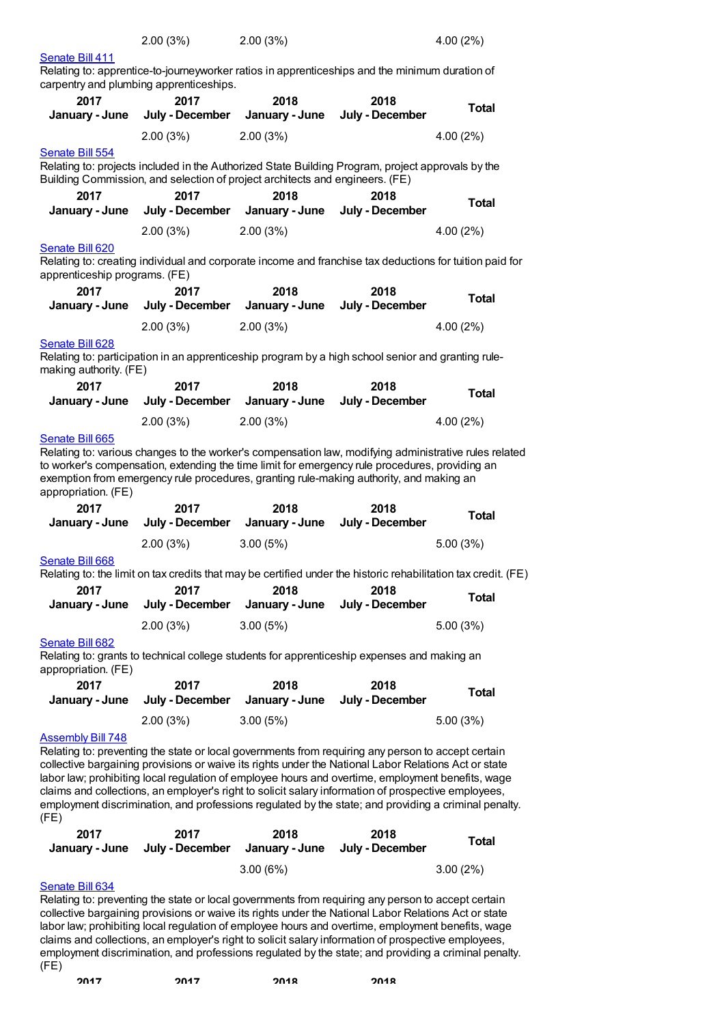| 2.00(3%) | 2.00(3%) | 4.00(2%) |
|----------|----------|----------|
|          |          |          |

[Senate](https://lobbying.wi.gov/What/BillInformation/2017REG/Information/14772?tab=Efforts) Bill 411

Relating to: apprentice-to-journeyworker ratios in apprenticeships and the minimum duration of carpentry and plumbing apprenticeships.

| 2017<br>January - June                                  | 2017<br>July - December                                                      | 2018<br>January - June                 | 2018<br>July - December                                                                                                                                                                                                                                                                                                                                                                                                                                                                                                        | <b>Total</b> |
|---------------------------------------------------------|------------------------------------------------------------------------------|----------------------------------------|--------------------------------------------------------------------------------------------------------------------------------------------------------------------------------------------------------------------------------------------------------------------------------------------------------------------------------------------------------------------------------------------------------------------------------------------------------------------------------------------------------------------------------|--------------|
|                                                         | 2.00(3%)                                                                     | 2.00(3%)                               |                                                                                                                                                                                                                                                                                                                                                                                                                                                                                                                                | 4.00 (2%)    |
| Senate Bill 554                                         | Building Commission, and selection of project architects and engineers. (FE) |                                        | Relating to: projects included in the Authorized State Building Program, project approvals by the                                                                                                                                                                                                                                                                                                                                                                                                                              |              |
| 2017<br>January - June                                  | 2017                                                                         | 2018<br>July - December January - June | 2018<br>July - December                                                                                                                                                                                                                                                                                                                                                                                                                                                                                                        | <b>Total</b> |
|                                                         | 2.00(3%)                                                                     | 2.00(3%)                               |                                                                                                                                                                                                                                                                                                                                                                                                                                                                                                                                | 4.00 (2%)    |
| <b>Senate Bill 620</b><br>apprenticeship programs. (FE) |                                                                              |                                        | Relating to: creating individual and corporate income and franchise tax deductions for tuition paid for                                                                                                                                                                                                                                                                                                                                                                                                                        |              |
| 2017                                                    | 2017                                                                         | 2018                                   | 2018                                                                                                                                                                                                                                                                                                                                                                                                                                                                                                                           | <b>Total</b> |
| January - June                                          | July - December                                                              | January - June                         | July - December                                                                                                                                                                                                                                                                                                                                                                                                                                                                                                                |              |
| Senate Bill 628                                         | 2.00(3%)                                                                     | 2.00(3%)                               |                                                                                                                                                                                                                                                                                                                                                                                                                                                                                                                                | 4.00 (2%)    |
| making authority. (FE)                                  |                                                                              |                                        | Relating to: participation in an apprenticeship program by a high school senior and granting rule-                                                                                                                                                                                                                                                                                                                                                                                                                             |              |
| 2017                                                    | 2017                                                                         | 2018                                   | 2018                                                                                                                                                                                                                                                                                                                                                                                                                                                                                                                           | <b>Total</b> |
| January - June                                          | July - December                                                              | January - June                         | July - December                                                                                                                                                                                                                                                                                                                                                                                                                                                                                                                |              |
| Senate Bill 665<br>appropriation. (FE)                  | 2.00(3%)                                                                     | 2.00(3%)                               | Relating to: various changes to the worker's compensation law, modifying administrative rules related<br>to worker's compensation, extending the time limit for emergency rule procedures, providing an<br>exemption from emergency rule procedures, granting rule-making authority, and making an                                                                                                                                                                                                                             | 4.00 (2%)    |
|                                                         |                                                                              |                                        |                                                                                                                                                                                                                                                                                                                                                                                                                                                                                                                                |              |
| 2017                                                    | 2017                                                                         | 2018                                   | 2018                                                                                                                                                                                                                                                                                                                                                                                                                                                                                                                           |              |
| January - June                                          | July - December                                                              | January - June                         | July - December                                                                                                                                                                                                                                                                                                                                                                                                                                                                                                                | <b>Total</b> |
|                                                         | 2.00(3%)                                                                     | 3.00(5%)                               |                                                                                                                                                                                                                                                                                                                                                                                                                                                                                                                                | 5.00(3%)     |
| Senate Bill 668                                         |                                                                              |                                        |                                                                                                                                                                                                                                                                                                                                                                                                                                                                                                                                |              |
| 2017                                                    | 2017                                                                         | 2018                                   | Relating to: the limit on tax credits that may be certified under the historic rehabilitation tax credit. (FE)<br>2018                                                                                                                                                                                                                                                                                                                                                                                                         |              |
| January - June                                          |                                                                              | July - December January - June         | July - December                                                                                                                                                                                                                                                                                                                                                                                                                                                                                                                | <b>Total</b> |
|                                                         | 2.00(3%)                                                                     | 3.00(5%)                               |                                                                                                                                                                                                                                                                                                                                                                                                                                                                                                                                | 5.00(3%)     |
| Senate Bill 682                                         |                                                                              |                                        | Relating to: grants to technical college students for apprenticeship expenses and making an                                                                                                                                                                                                                                                                                                                                                                                                                                    |              |
| appropriation. (FE)<br>2017                             | 2017                                                                         | 2018                                   | 2018                                                                                                                                                                                                                                                                                                                                                                                                                                                                                                                           |              |
| January - June                                          | July - December                                                              | January - June                         | July - December                                                                                                                                                                                                                                                                                                                                                                                                                                                                                                                | <b>Total</b> |
|                                                         | 2.00(3%)                                                                     | 3.00(5%)                               |                                                                                                                                                                                                                                                                                                                                                                                                                                                                                                                                | 5.00(3%)     |
| <b>Assembly Bill 748</b><br>(FE)                        |                                                                              |                                        | Relating to: preventing the state or local governments from requiring any person to accept certain<br>collective bargaining provisions or waive its rights under the National Labor Relations Act or state<br>labor law; prohibiting local regulation of employee hours and overtime, employment benefits, wage<br>claims and collections, an employer's right to solicit salary information of prospective employees,<br>employment discrimination, and professions regulated by the state; and providing a criminal penalty. |              |
| 2017                                                    | 2017                                                                         | 2018                                   | 2018                                                                                                                                                                                                                                                                                                                                                                                                                                                                                                                           | <b>Total</b> |
| January - June                                          | July - December                                                              | January - June                         | July - December                                                                                                                                                                                                                                                                                                                                                                                                                                                                                                                |              |
| Senate Bill 634                                         |                                                                              | 3.00(6%)                               |                                                                                                                                                                                                                                                                                                                                                                                                                                                                                                                                | 3.00(2%)     |

collective bargaining provisions or waive its rights under the National Labor Relations Act or state labor law; prohibiting local regulation of employee hours and overtime, employment benefits, wage claims and collections, an employer's right to solicit salary information of prospective employees, employment discrimination, and professions regulated by the state; and providing a criminal penalty. (FE)

**2017 2017 2018 2018**